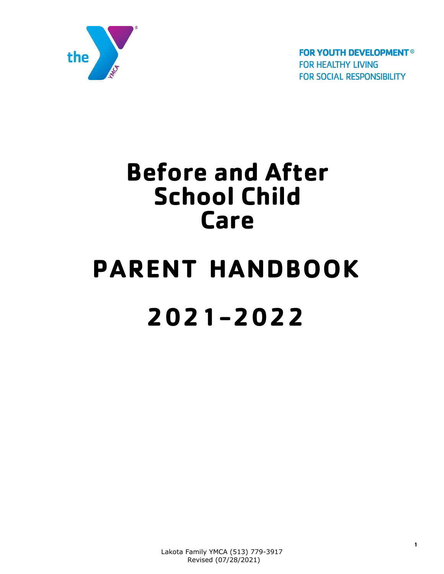

**FOR YOUTH DEVELOPMENT® FOR HEALTHY LIVING FOR SOCIAL RESPONSIBILITY** 

## **Before and After School Child Care**

# **PARENT HANDBOOK 2021-2022**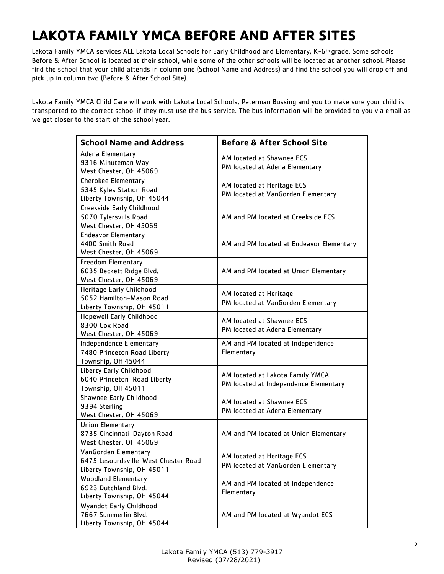## **LAKOTA FAMILY YMCA BEFORE AND AFTER SITES**

Lakota Family YMCA services ALL Lakota Local Schools for Early Childhood and Elementary, K-6<sup>th</sup> grade. Some schools Before & After School is located at their school, while some of the other schools will be located at another school. Please find the school that your child attends in column one (School Name and Address) and find the school you will drop off and pick up in column two (Before & After School Site).

Lakota Family YMCA Child Care will work with Lakota Local Schools, Peterman Bussing and you to make sure your child is transported to the correct school if they must use the bus service. The bus information will be provided to you via email as we get closer to the start of the school year.

| <b>School Name and Address</b>                                                             | <b>Before &amp; After School Site</b>                                     |  |
|--------------------------------------------------------------------------------------------|---------------------------------------------------------------------------|--|
| Adena Elementary<br>9316 Minuteman Way<br>West Chester, OH 45069                           | AM located at Shawnee ECS<br>PM located at Adena Elementary               |  |
| <b>Cherokee Elementary</b><br>5345 Kyles Station Road<br>Liberty Township, OH 45044        | AM located at Heritage ECS<br>PM located at VanGorden Elementary          |  |
| Creekside Early Childhood<br>5070 Tylersvills Road<br>West Chester, OH 45069               | AM and PM located at Creekside ECS                                        |  |
| <b>Endeavor Elementary</b><br>4400 Smith Road<br>West Chester, OH 45069                    | AM and PM located at Endeavor Elementary                                  |  |
| <b>Freedom Elementary</b><br>6035 Beckett Ridge Blvd.<br>West Chester, OH 45069            | AM and PM located at Union Elementary                                     |  |
| Heritage Early Childhood<br>5052 Hamilton-Mason Road<br>Liberty Township, OH 45011         | AM located at Heritage<br>PM located at VanGorden Elementary              |  |
| <b>Hopewell Early Childhood</b><br>8300 Cox Road<br>West Chester, OH 45069                 | AM located at Shawnee ECS<br>PM located at Adena Elementary               |  |
| Independence Elementary<br>7480 Princeton Road Liberty<br>Township, OH 45044               | AM and PM located at Independence<br>Elementary                           |  |
| Liberty Early Childhood<br>6040 Princeton Road Liberty<br>Township, OH 45011               | AM located at Lakota Family YMCA<br>PM located at Independence Elementary |  |
| Shawnee Early Childhood<br>9394 Sterling<br>West Chester, OH 45069                         | AM located at Shawnee ECS<br>PM located at Adena Elementary               |  |
| <b>Union Elementary</b><br>8735 Cincinnati-Dayton Road<br>West Chester, OH 45069           | AM and PM located at Union Elementary                                     |  |
| VanGorden Elementary<br>6475 Lesourdsville-West Chester Road<br>Liberty Township, OH 45011 | AM located at Heritage ECS<br>PM located at VanGorden Elementary          |  |
| <b>Woodland Elementary</b><br>6923 Dutchland Blvd.<br>Liberty Township, OH 45044           | AM and PM located at Independence<br>Elementary                           |  |
| Wyandot Early Childhood<br>7667 Summerlin Blvd.<br>Liberty Township, OH 45044              | AM and PM located at Wyandot ECS                                          |  |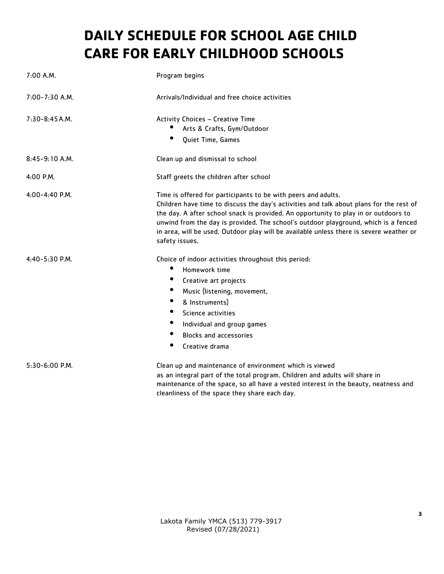## **DAILY SCHEDULE FOR SCHOOL AGE CHILD CARE FOR EARLY CHILDHOOD SCHOOLS**

| $7:00$ A.M.        | Program begins                                                                                                                                                                                                                                                                                                                                                                                                                                      |
|--------------------|-----------------------------------------------------------------------------------------------------------------------------------------------------------------------------------------------------------------------------------------------------------------------------------------------------------------------------------------------------------------------------------------------------------------------------------------------------|
| $7:00 - 7:30$ A.M. | Arrivals/Individual and free choice activities                                                                                                                                                                                                                                                                                                                                                                                                      |
| $7:30-8:45A.M.$    | Activity Choices - Creative Time<br>Arts & Crafts, Gym/Outdoor<br>Quiet Time, Games                                                                                                                                                                                                                                                                                                                                                                 |
| $8:45-9:10$ A.M.   | Clean up and dismissal to school                                                                                                                                                                                                                                                                                                                                                                                                                    |
| $4:00$ P.M.        | Staff greets the children after school                                                                                                                                                                                                                                                                                                                                                                                                              |
| 4:00-4:40 P.M.     | Time is offered for participants to be with peers and adults.<br>Children have time to discuss the day's activities and talk about plans for the rest of<br>the day. A after school snack is provided. An opportunity to play in or outdoors to<br>unwind from the day is provided. The school's outdoor playground, which is a fenced<br>in area, will be used. Outdoor play will be available unless there is severe weather or<br>safety issues. |
| $4:40 - 5:30$ P.M. | Choice of indoor activities throughout this period:<br>Homework time<br>$\bullet$<br>Creative art projects<br>$\bullet$<br>Music (listening, movement,<br>$\bullet$<br>& Instruments)<br>$\bullet$<br>Science activities<br>$\bullet$<br>Individual and group games<br>٠<br><b>Blocks and accessories</b><br>Creative drama                                                                                                                         |
| $5:30-6:00$ P.M.   | Clean up and maintenance of environment which is viewed<br>as an integral part of the total program. Children and adults will share in<br>maintenance of the space, so all have a vested interest in the beauty, neatness and<br>cleanliness of the space they share each day.                                                                                                                                                                      |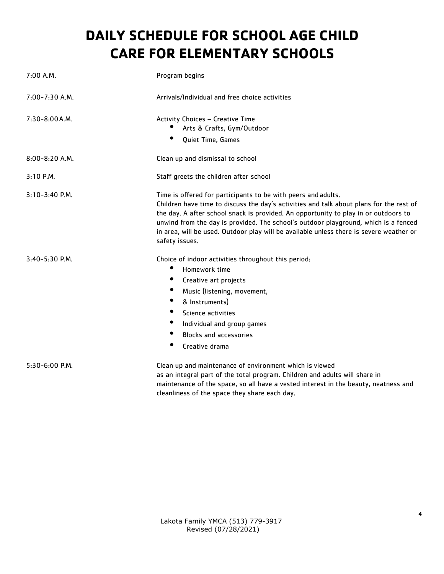## **DAILY SCHEDULE FOR SCHOOL AGE CHILD CARE FOR ELEMENTARY SCHOOLS**

| $7:00$ A.M.        | Program begins                                                                                                                                                                                                                                                                                                                                                                                                                                      |
|--------------------|-----------------------------------------------------------------------------------------------------------------------------------------------------------------------------------------------------------------------------------------------------------------------------------------------------------------------------------------------------------------------------------------------------------------------------------------------------|
| $7:00 - 7:30$ A.M. | Arrivals/Individual and free choice activities                                                                                                                                                                                                                                                                                                                                                                                                      |
| $7:30 - 8:00 A.M.$ | Activity Choices - Creative Time<br>Arts & Crafts, Gym/Outdoor<br>Quiet Time, Games                                                                                                                                                                                                                                                                                                                                                                 |
| $8:00 - 8:20$ A.M. | Clean up and dismissal to school                                                                                                                                                                                                                                                                                                                                                                                                                    |
| $3:10$ P.M.        | Staff greets the children after school                                                                                                                                                                                                                                                                                                                                                                                                              |
| 3:10-3:40 P.M.     | Time is offered for participants to be with peers and adults.<br>Children have time to discuss the day's activities and talk about plans for the rest of<br>the day. A after school snack is provided. An opportunity to play in or outdoors to<br>unwind from the day is provided. The school's outdoor playground, which is a fenced<br>in area, will be used. Outdoor play will be available unless there is severe weather or<br>safety issues. |
| 3:40-5:30 P.M.     | Choice of indoor activities throughout this period:<br>٠<br>Homework time<br>$\bullet$<br>Creative art projects<br>$\bullet$<br>Music (listening, movement,<br>$\bullet$<br>& Instruments)<br>٠<br>Science activities<br>Individual and group games<br>٠<br><b>Blocks and accessories</b><br>$\bullet$<br>Creative drama                                                                                                                            |
| 5:30-6:00 P.M.     | Clean up and maintenance of environment which is viewed<br>as an integral part of the total program. Children and adults will share in<br>maintenance of the space, so all have a vested interest in the beauty, neatness and<br>cleanliness of the space they share each day.                                                                                                                                                                      |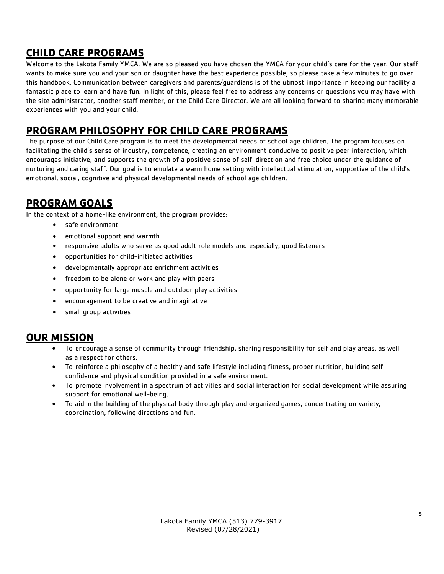#### **CHILD CARE PROGRAMS**

Welcome to the Lakota Family YMCA. We are so pleased you have chosen the YMCA for your child's care for the year. Our staff wants to make sure you and your son or daughter have the best experience possible, so please take a few minutes to go over this handbook. Communication between caregivers and parents/guardians is of the utmost importance in keeping our facility a fantastic place to learn and have fun. In light of this, please feel free to address any concerns or questions you may have with the site administrator, another staff member, or the Child Care Director. We are all looking forward to sharing many memorable experiences with you and your child.

#### **PROGRAM PHILOSOPHY FOR CHILD CARE PROGRAMS**

The purpose of our Child Care program is to meet the developmental needs of school age children. The program focuses on facilitating the child's sense of industry, competence, creating an environment conducive to positive peer interaction, which encourages initiative, and supports the growth of a positive sense of self-direction and free choice under the guidance of nurturing and caring staff. Our goal is to emulate a warm home setting with intellectual stimulation, supportive of the child's emotional, social, cognitive and physical developmental needs of school age children.

#### **PROGRAM GOALS**

In the context of a home-like environment, the program provides:

- safe environment
- emotional support and warmth
- responsive adults who serve as good adult role models and especially, good listeners
- opportunities for child-initiated activities
- developmentally appropriate enrichment activities
- freedom to be alone or work and play with peers
- opportunity for large muscle and outdoor play activities
- encouragement to be creative and imaginative
- small group activities

#### **OUR MISSION**

- To encourage a sense of community through friendship, sharing responsibility for self and play areas, as well as a respect for others.
- To reinforce a philosophy of a healthy and safe lifestyle including fitness, proper nutrition, building selfconfidence and physical condition provided in a safe environment.
- To promote involvement in a spectrum of activities and social interaction for social development while assuring support for emotional well-being.
- To aid in the building of the physical body through play and organized games, concentrating on variety, coordination, following directions and fun.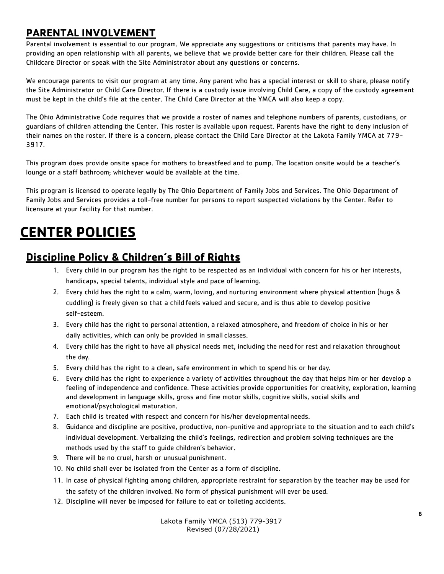#### **PARENTAL INVOLVEMENT**

Parental involvement is essential to our program. We appreciate any suggestions or criticisms that parents may have. In providing an open relationship with all parents, we believe that we provide better care for their children. Please call the Childcare Director or speak with the Site Administrator about any questions or concerns.

We encourage parents to visit our program at any time. Any parent who has a special interest or skill to share, please notify the Site Administrator or Child Care Director. If there is a custody issue involving Child Care, a copy of the custody agreement must be kept in the child's file at the center. The Child Care Director at the YMCA will also keep a copy.

The Ohio Administrative Code requires that we provide a roster of names and telephone numbers of parents, custodians, or guardians of children attending the Center. This roster is available upon request. Parents have the right to deny inclusion of their names on the roster. If there is a concern, please contact the Child Care Director at the Lakota Family YMCA at 779- 3917.

This program does provide onsite space for mothers to breastfeed and to pump. The location onsite would be a teacher's lounge or a staff bathroom; whichever would be available at the time.

This program is licensed to operate legally by The Ohio Department of Family Jobs and Services. The Ohio Department of Family Jobs and Services provides a toll-free number for persons to report suspected violations by the Center. Refer to licensure at your facility for that number.

### **CENTER POLICIES**

#### **Discipline Policy & Children's Bill of Rights**

- 1. Every child in our program has the right to be respected as an individual with concern for his or her interests, handicaps, special talents, individual style and pace of learning.
- 2. Every child has the right to a calm, warm, loving, and nurturing environment where physical attention (hugs & cuddling) is freely given so that a child feels valued and secure, and is thus able to develop positive self-esteem.
- 3. Every child has the right to personal attention, a relaxed atmosphere, and freedom of choice in his or her daily activities, which can only be provided in small classes.
- 4. Every child has the right to have all physical needs met, including the need for rest and relaxation throughout the day.
- 5. Every child has the right to a clean, safe environment in which to spend his or her day.
- 6. Every child has the right to experience a variety of activities throughout the day that helps him or her develop a feeling of independence and confidence. These activities provide opportunities for creativity, exploration, learning and development in language skills, gross and fine motor skills, cognitive skills, social skills and emotional/psychological maturation.
- 7. Each child is treated with respect and concern for his/her developmental needs.
- 8. Guidance and discipline are positive, productive, non-punitive and appropriate to the situation and to each child's individual development. Verbalizing the child's feelings, redirection and problem solving techniques are the methods used by the staff to guide children's behavior.
- 9. There will be no cruel, harsh or unusual punishment.
- 10. No child shall ever be isolated from the Center as a form of discipline.
- 11. In case of physical fighting among children, appropriate restraint for separation by the teacher may be used for the safety of the children involved. No form of physical punishment will ever be used.
- 12. Discipline will never be imposed for failure to eat or toileting accidents.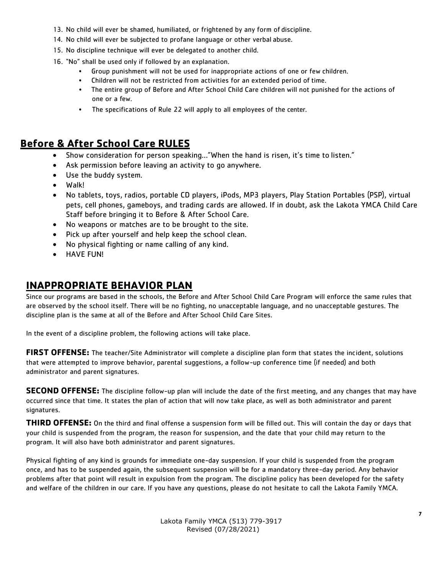- 13. No child will ever be shamed, humiliated, or frightened by any form of discipline.
- 14. No child will ever be subjected to profane language or other verbal abuse.
- 15. No discipline technique will ever be delegated to another child.
- 16. "No" shall be used only if followed by an explanation.
	- Group punishment will not be used for inappropriate actions of one or few children.
	- Children will not be restricted from activities for an extended period of time.
	- The entire group of Before and After School Child Care children will not punished for the actions of one or a few.
	- The specifications of Rule 22 will apply to all employees of the center.

#### **Before & After School Care RULES**

- Show consideration for person speaking…"When the hand is risen, it's time to listen."
- Ask permission before leaving an activity to go anywhere.
- Use the buddy system.
- Walk!
- No tablets, toys, radios, portable CD players, iPods, MP3 players, Play Station Portables (PSP), virtual pets, cell phones, gameboys, and trading cards are allowed. If in doubt, ask the Lakota YMCA Child Care Staff before bringing it to Before & After School Care.
- No weapons or matches are to be brought to the site.
- Pick up after yourself and help keep the school clean.
- No physical fighting or name calling of any kind.
- HAVE FUN!

#### **INAPPROPRIATE BEHAVIOR PLAN**

Since our programs are based in the schools, the Before and After School Child Care Program will enforce the same rules that are observed by the school itself. There will be no fighting, no unacceptable language, and no unacceptable gestures. The discipline plan is the same at all of the Before and After School Child Care Sites.

In the event of a discipline problem, the following actions will take place.

**FIRST OFFENSE:** The teacher/Site Administrator will complete a discipline plan form that states the incident, solutions that were attempted to improve behavior, parental suggestions, a follow-up conference time (if needed) and both administrator and parent signatures.

**SECOND OFFENSE:** The discipline follow-up plan will include the date of the first meeting, and any changes that may have occurred since that time. It states the plan of action that will now take place, as well as both administrator and parent signatures.

**THIRD OFFENSE:** On the third and final offense a suspension form will be filled out. This will contain the day or days that your child is suspended from the program, the reason for suspension, and the date that your child may return to the program. It will also have both administrator and parent signatures.

Physical fighting of any kind is grounds for immediate one-day suspension. If your child is suspended from the program once, and has to be suspended again, the subsequent suspension will be for a mandatory three-day period. Any behavior problems after that point will result in expulsion from the program. The discipline policy has been developed for the safety and welfare of the children in our care. If you have any questions, please do not hesitate to call the Lakota Family YMCA.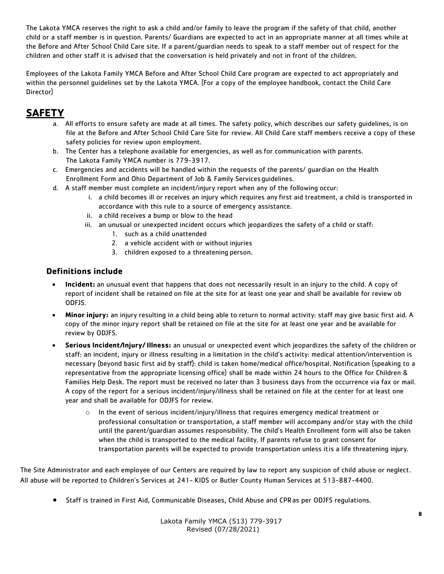The Lakota YMCA reserves the right to ask a child and/or family to leave the program if the safety of that child, another child or a staff member is in question. Parents/ Guardians are expected to act in an appropriate manner at all times while at the Before and After School Child Care site. If a parent/guardian needs to speak to a staff member out of respect for the children and other staff it is advised that the conversation is held privately and not in front of the children.

Employees of the Lakota Family YMCA Before and After School Child Care program are expected to act appropriately and within the personnel guidelines set by the Lakota YMCA. (For a copy of the employee handbook, contact the Child Care Director)

#### **SAFETY**

- a. All efforts to ensure safety are made at all times. The safety policy, which describes our safety guidelines, is on file at the Before and After School Child Care Site for review. All Child Care staff members receive a copy of these safety policies for review upon employment.
- b. The Center has a telephone available for emergencies, as well as for communication with parents. The Lakota Family YMCA number is 779-3917.
- c. Emergencies and accidents will be handled within the requests of the parents/ guardian on the Health Enrollment Form and Ohio Department of Job & Family Services guidelines.
- d. A staff member must complete an incident/injury report when any of the following occur:
	- i. a child becomes ill or receives an injury which requires any first aid treatment, a child is transported in accordance with this rule to a source of emergency assistance.
	- ii. a child receives a bump or blow to the head
	- iii. an unusual or unexpected incident occurs which jeopardizes the safety of a child or staff:
		- 1. such as a child unattended
		- 2. a vehicle accident with or without injuries
		- 3. children exposed to a threatening person.

#### **Definitions include**

- **Incident:** an unusual event that happens that does not necessarily result in an injury to the child. A copy of report of incident shall be retained on file at the site for at least one year and shall be available for review ob ODFJS.
- **Minor injury:** an injury resulting in a child being able to return to normal activity: staff may give basic first aid. A copy of the minor injury report shall be retained on file at the site for at least one year and be available for review by ODJFS.
- **Serious Incident/Injury/ Illness:** an unusual or unexpected event which jeopardizes the safety of the children or staff: an incident, injury or illness resulting in a limitation in the child's activity: medical attention/intervention is necessary (beyond basic first aid by staff): child is taken home/medical office/hospital. Notification (speaking to a representative from the appropriate licensing office) shall be made within 24 hours to the Office for Children & Families Help Desk. The report must be received no later than 3 business days from the occurrence via fax or mail. A copy of the report for a serious incident/injury/illness shall be retained on file at the center for at least one year and shall be available for ODJFS for review.
	- o In the event of serious incident/injury/illness that requires emergency medical treatment or professional consultation or transportation, a staff member will accompany and/or stay with the child until the parent/guardian assumes responsibility. The child's Health Enrollment form will also be taken when the child is transported to the medical facility. If parents refuse to grant consent for transportation parents will be expected to provide transportation unless itis a life threatening injury.

The Site Administrator and each employee of our Centers are required by law to report any suspicion of child abuse or neglect. All abuse will be reported to Children's Services at 241- KIDS or Butler County Human Services at 513-887-4400.

• Staff is trained in First Aid, Communicable Diseases, Child Abuse and CPRas per ODJFS regulations.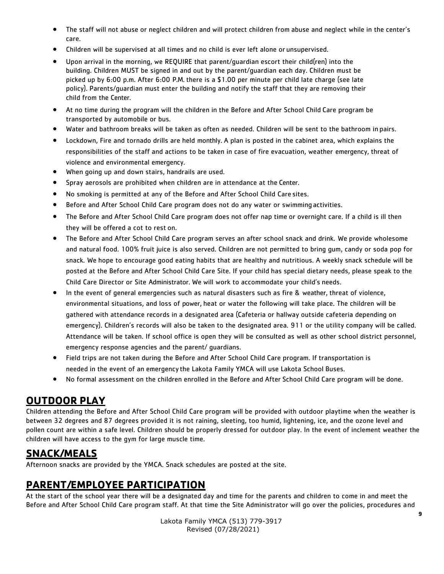- The staff will not abuse or neglect children and will protect children from abuse and neglect while in the center's care.
- Children will be supervised at all times and no child is ever left alone or unsupervised.
- Upon arrival in the morning, we REQUIRE that parent/guardian escort their child(ren) into the building. Children MUST be signed in and out by the parent/guardian each day. Children must be picked up by 6:00 p.m. After 6:00 P.M. there is a \$1.00 per minute per child late charge (see late policy). Parents/guardian must enter the building and notify the staff that they are removing their child from the Center.
- At no time during the program will the children in the Before and After School Child Care program be transported by automobile or bus.
- Water and bathroom breaks will be taken as often as needed. Children will be sent to the bathroom in pairs.
- Lockdown, Fire and tornado drills are held monthly. A plan is posted in the cabinet area, which explains the responsibilities of the staff and actions to be taken in case of fire evacuation, weather emergency, threat of violence and environmental emergency.
- When going up and down stairs, handrails are used.
- Spray aerosols are prohibited when children are in attendance at the Center.
- No smoking is permitted at any of the Before and After School Child Care sites.
- Before and After School Child Care program does not do any water or swimming activities.
- The Before and After School Child Care program does not offer nap time or overnight care. If a child is ill then they will be offered a cot to rest on.
- The Before and After School Child Care program serves an after school snack and drink. We provide wholesome and natural food. 100% fruit juice is also served. Children are not permitted to bring gum, candy or soda pop for snack. We hope to encourage good eating habits that are healthy and nutritious. A weekly snack schedule will be posted at the Before and After School Child Care Site. If your child has special dietary needs, please speak to the Child Care Director or Site Administrator. We will work to accommodate your child's needs.
- In the event of general emergencies such as natural disasters such as fire & weather, threat of violence, environmental situations, and loss of power, heat or water the following will take place. The children will be gathered with attendance records in a designated area (Cafeteria or hallway outside cafeteria depending on emergency). Children's records will also be taken to the designated area. 911 or the utility company will be called. Attendance will be taken. If school office is open they will be consulted as well as other school district personnel, emergency response agencies and the parent/ guardians.
- Field trips are not taken during the Before and After School Child Care program. If transportation is needed in the event of an emergency the Lakota Family YMCA will use Lakota School Buses.
- No formal assessment on the children enrolled in the Before and After School Child Care program will be done.

#### **OUTDOOR PLAY**

Children attending the Before and After School Child Care program will be provided with outdoor playtime when the weather is between 32 degrees and 87 degrees provided it is not raining, sleeting, too humid, lightening, ice, and the ozone level and pollen count are within a safe level. Children should be properly dressed for outdoor play. In the event of inclement weather the children will have access to the gym for large muscle time.

#### **SNACK/MEALS**

Afternoon snacks are provided by the YMCA. Snack schedules are posted at the site.

#### **PARENT/EMPLOYEE PARTICIPATION**

At the start of the school year there will be a designated day and time for the parents and children to come in and meet the Before and After School Child Care program staff. At that time the Site Administrator will go over the policies, procedures and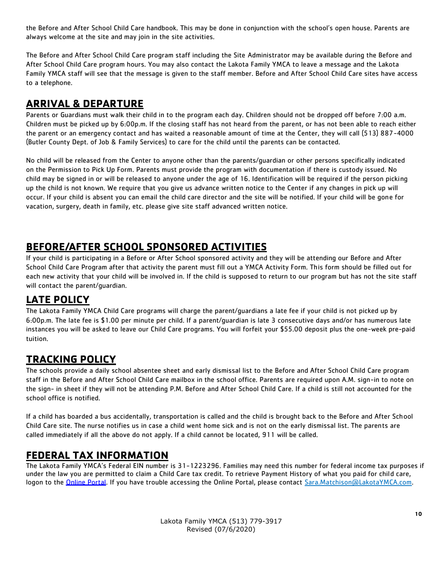the Before and After School Child Care handbook. This may be done in conjunction with the school's open house. Parents are always welcome at the site and may join in the site activities.

The Before and After School Child Care program staff including the Site Administrator may be available during the Before and After School Child Care program hours. You may also contact the Lakota Family YMCA to leave a message and the Lakota Family YMCA staff will see that the message is given to the staff member. Before and After School Child Care sites have access to a telephone.

#### **ARRIVAL & DEPARTURE**

Parents or Guardians must walk their child in to the program each day. Children should not be dropped off before 7:00 a.m. Children must be picked up by 6:00p.m. If the closing staff has not heard from the parent, or has not been able to reach either the parent or an emergency contact and has waited a reasonable amount of time at the Center, they will call (513) 887-4000 (Butler County Dept. of Job & Family Services) to care for the child until the parents can be contacted.

No child will be released from the Center to anyone other than the parents/guardian or other persons specifically indicated on the Permission to Pick Up Form. Parents must provide the program with documentation if there is custody issued. No child may be signed in or will be released to anyone under the age of 16. Identification will be required if the person picking up the child is not known. We require that you give us advance written notice to the Center if any changes in pick up will occur. If your child is absent you can email the child care director and the site will be notified. If your child will be gone for vacation, surgery, death in family, etc. please give site staff advanced written notice.

#### **BEFORE/AFTER SCHOOL SPONSORED ACTIVITIES**

If your child is participating in a Before or After School sponsored activity and they will be attending our Before and After School Child Care Program after that activity the parent must fill out a YMCA Activity Form. This form should be filled out for each new activity that your child will be involved in. If the child is supposed to return to our program but has not the site staff will contact the parent/guardian.

#### **LATE POLICY**

The Lakota Family YMCA Child Care programs will charge the parent/guardians a late fee if your child is not picked up by 6:00p.m. The late fee is \$1.00 per minute per child. If a parent/guardian is late 3 consecutive days and/or has numerous late instances you will be asked to leave our Child Care programs. You will forfeit your \$55.00 deposit plus the one-week pre-paid tuition.

#### **TRACKING POLICY**

The schools provide a daily school absentee sheet and early dismissal list to the Before and After School Child Care program staff in the Before and After School Child Care mailbox in the school office. Parents are required upon A.M. sign-in to note on the sign- in sheet if they will not be attending P.M. Before and After School Child Care. If a child is still not accounted for the school office is notified.

If a child has boarded a bus accidentally, transportation is called and the child is brought back to the Before and After School Child Care site. The nurse notifies us in case a child went home sick and is not on the early dismissal list. The parents are called immediately if all the above do not apply. If a child cannot be located, 911 will be called.

#### **FEDERAL TAX INFORMATION**

The Lakota Family YMCA's Federal EIN number is 31-1223296. Families may need this number for federal income tax purposes if under the law you are permitted to claim a Child Care tax credit. To retrieve Payment History of what you paid for child care, logon to the Online Portal. If you have trouble accessing the Online Portal, please contact [Sara.Matchison@LakotaYMCA.com.](mailto:Sara.Matchison@LakotaYMCA.com.)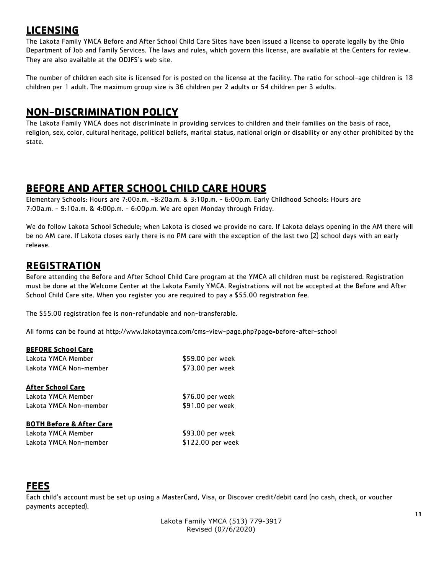#### **LICENSING**

The Lakota Family YMCA Before and After School Child Care Sites have been issued a license to operate legally by the Ohio Department of Job and Family Services. The laws and rules, which govern this license, are available at the Centers for review. They are also available at the ODJFS's web site.

The number of children each site is licensed for is posted on the license at the facility. The ratio for school-age children is 18 children per 1 adult. The maximum group size is 36 children per 2 adults or 54 children per 3 adults.

#### **NON-DISCRIMINATION POLICY**

The Lakota Family YMCA does not discriminate in providing services to children and their families on the basis of race, religion, sex, color, cultural heritage, political beliefs, marital status, national origin or disability or any other prohibited by the state.

#### **BEFORE AND AFTER SCHOOL CHILD CARE HOURS**

Elementary Schools: Hours are 7:00a.m. -8:20a.m. & 3:10p.m. - 6:00p.m. Early Childhood Schools: Hours are 7:00a.m. - 9:10a.m. & 4:00p.m. - 6:00p.m. We are open Monday through Friday.

We do follow Lakota School Schedule; when Lakota is closed we provide no care. If Lakota delays opening in the AM there will be no AM care. If Lakota closes early there is no PM care with the exception of the last two (2) school days with an early release.

#### **REGISTRATION**

Before attending the Before and After School Child Care program at the YMCA all children must be registered. Registration must be done at the Welcome Center at the Lakota Family YMCA. Registrations will not be accepted at the Before and After School Child Care site. When you register you are required to pay a \$55.00 registration fee.

The \$55.00 registration fee is non-refundable and non-transferable.

All forms can be found at<http://www.lakotaymca.com/cms-view-page.php?page=before-after-school>

| \$59.00 per week  |
|-------------------|
| \$73.00 per week  |
|                   |
| \$76.00 per week  |
| \$91.00 per week  |
|                   |
| \$93.00 per week  |
| \$122.00 per week |
|                   |

#### **FEES**

Each child's account must be set up using a MasterCard, Visa, or Discover credit/debit card (no cash, check, or voucher payments accepted).

> Lakota Family YMCA (513) 779-3917 Revised (07/6/2020)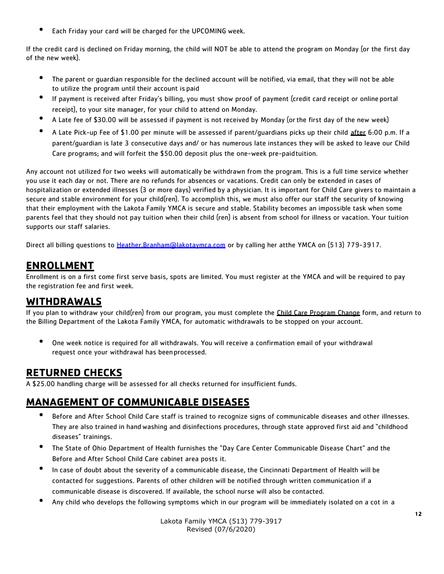• Each Friday your card will be charged for the UPCOMING week.

If the credit card is declined on Friday morning, the child will NOT be able to attend the program on Monday (or the first day of the new week).

- The parent or guardian responsible for the declined account will be notified, via email, that they will not be able to utilize the program until their account is paid
- If payment is received after Friday's billing, you must show proof of payment (credit card receipt or online portal receipt), to your site manager, for your child to attend on Monday.
- A Late fee of \$30.00 will be assessed if payment is not received by Monday (orthe first day of the new week)
- A Late Pick-up Fee of \$1.00 per minute will be assessed if parent/quardians picks up their child after 6:00 p.m. If a parent/guardian is late 3 consecutive days and/ or has numerous late instances they will be asked to leave our Child Care programs; and will forfeit the \$50.00 deposit plus the one-week pre-paidtuition.

Any account not utilized for two weeks will automatically be withdrawn from the program. This is a full time service whether you use it each day or not. There are no refunds for absences or vacations. Credit can only be extended in cases of hospitalization or extended illnesses (3 or more days) verified by a physician. It is important for Child Care givers to maintain a secure and stable environment for your child(ren). To accomplish this, we must also offer our staff the security of knowing that their employment with the Lakota Family YMCA is secure and stable. Stability becomes an impossible task when some parents feel that they should not pay tuition when their child (ren) is absent from school for illness or vacation. Your tuition supports our staff salaries.

Direct all billing questions to [Heather.Branham@lakotaymca.com](mailto:Heather.Branham@lakotaymca.com) or by calling her atthe YMCA on (513) 779-3917.

#### **ENROLLMENT**

Enrollment is on a first come first serve basis, spots are limited. You must register at the YMCA and will be required to pay the registration fee and first week.

#### **WITHDRAWALS**

If you plan to withdraw your child(ren) from our program, you must complete the Child Care Program Change form, and return to the Billing Department of the Lakota Family YMCA, for automatic withdrawals to be stopped on your account.

• One week notice is required for all withdrawals. You will receive a confirmation email of your withdrawal request once your withdrawal has beenprocessed.

#### **RETURNED CHECKS**

A \$25.00 handling charge will be assessed for all checks returned for insufficient funds.

#### **MANAGEMENT OF COMMUNICABLE DISEASES**

- Before and After School Child Care staff is trained to recognize signs of communicable diseases and other illnesses. They are also trained in handwashing and disinfections procedures, through state approved first aid and "childhood diseases" trainings.
- The State of Ohio Department of Health furnishes the "Day Care Center Communicable Disease Chart" and the Before and After School Child Care cabinet area posts it.
- In case of doubt about the severity of a communicable disease, the Cincinnati Department of Health will be contacted for suggestions. Parents of other children will be notified through written communication if a communicable disease is discovered. If available, the school nurse will also be contacted.
- Any child who develops the following symptoms which in our program will be immediately isolated on a cot in a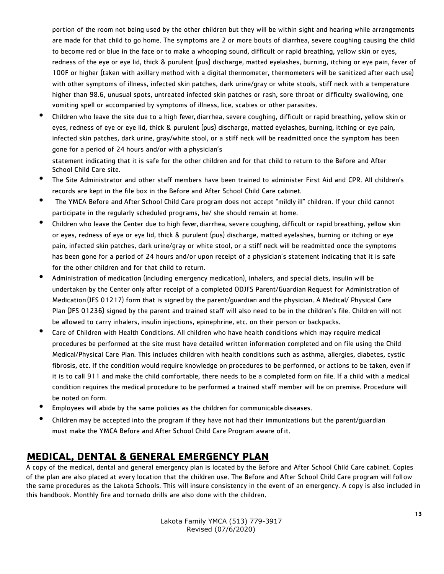portion of the room not being used by the other children but they will be within sight and hearing while arrangements are made for that child to go home. The symptoms are 2 or more bouts of diarrhea, severe coughing causing the child to become red or blue in the face or to make a whooping sound, difficult or rapid breathing, yellow skin or eyes, redness of the eye or eye lid, thick & purulent (pus) discharge, matted eyelashes, burning, itching or eye pain, fever of 100F or higher (taken with axillary method with a digital thermometer, thermometers will be sanitized after each use) with other symptoms of illness, infected skin patches, dark urine/gray or white stools, stiff neck with a temperature higher than 98.6, unusual spots, untreated infected skin patches or rash, sore throat or difficulty swallowing, one vomiting spell or accompanied by symptoms of illness, lice, scabies or other parasites.

• Children who leave the site due to a high fever, diarrhea, severe coughing, difficult or rapid breathing, yellow skin or eyes, redness of eye or eye lid, thick & purulent (pus) discharge, matted eyelashes, burning, itching or eye pain, infected skin patches, dark urine, gray/white stool, or a stiff neck will be readmitted once the symptom has been gone for a period of 24 hours and/or with a physician's

statement indicating that it is safe for the other children and for that child to return to the Before and After School Child Care site.

- The Site Administrator and other staff members have been trained to administer First Aid and CPR. All children's records are kept in the file box in the Before and After School Child Care cabinet.
- The YMCA Before and After School Child Care program does not accept "mildly ill" children. If your child cannot participate in the regularly scheduled programs, he/ she should remain at home.
- Children who leave the Center due to high fever, diarrhea, severe coughing, difficult or rapid breathing, yellow skin or eyes, redness of eye or eye lid, thick & purulent (pus) discharge, matted eyelashes, burning or itching or eye pain, infected skin patches, dark urine/gray or white stool, or a stiff neck will be readmitted once the symptoms has been gone for a period of 24 hours and/or upon receipt of a physician's statement indicating that it is safe for the other children and for that child to return.
- Administration of medication (including emergency medication), inhalers, and special diets, insulin will be undertaken by the Center only after receipt of a completed ODJFS Parent/Guardian Request for Administration of Medication(JFS 01217) form that is signed by the parent/guardian and the physician. A Medical/ Physical Care Plan (JFS 01236) signed by the parent and trained staff will also need to be in the children's file. Children will not be allowed to carry inhalers, insulin injections, epinephrine, etc. on their person or backpacks.
- Care of Children with Health Conditions. All children who have health conditions which may require medical procedures be performed at the site must have detailed written information completed and on file using the Child Medical/Physical Care Plan. This includes children with health conditions such as asthma, allergies, diabetes, cystic fibrosis, etc. If the condition would require knowledge on procedures to be performed, or actions to be taken, even if it is to call 911 and make the child comfortable, there needs to be a completed form on file. If a child with a medical condition requires the medical procedure to be performed a trained staff member will be on premise. Procedure will be noted on form.
- Employees will abide by the same policies as the children for communicable diseases.
- Children may be accepted into the program if they have not had their immunizations but the parent/guardian must make the YMCA Before and After School Child Care Program aware ofit.

#### **MEDICAL, DENTAL & GENERAL EMERGENCY PLAN**

A copy of the medical, dental and general emergency plan is located by the Before and After School Child Care cabinet. Copies of the plan are also placed at every location that the children use. The Before and After School Child Care program will follow the same procedures as the Lakota Schools. This will insure consistency in the event of an emergency. A copy is also included in this handbook. Monthly fire and tornado drills are also done with the children.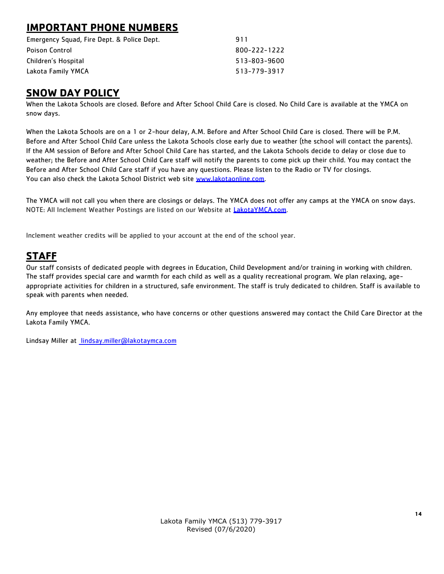#### **IMPORTANT PHONE NUMBERS**

| Emergency Squad, Fire Dept. & Police Dept. | 911          |
|--------------------------------------------|--------------|
| <b>Poison Control</b>                      | 800-222-1222 |
| Children's Hospital                        | 513-803-9600 |
| Lakota Family YMCA                         | 513-779-3917 |

#### **SNOW DAY POLICY**

When the Lakota Schools are closed. Before and After School Child Care is closed. No Child Care is available at the YMCA on snow days.

When the Lakota Schools are on a 1 or 2-hour delay, A.M. Before and After School Child Care is closed. There will be P.M. Before and After School Child Care unless the Lakota Schools close early due to weather (the school will contact the parents). If the AM session of Before and After School Child Care has started, and the Lakota Schools decide to delay or close due to weather; the Before and After School Child Care staff will notify the parents to come pick up their child. You may contact the Before and After School Child Care staff if you have any questions. Please listen to the Radio or TV for closings. You can also check the Lakota School District web site [www.lakotaonline.com.](http://www.lakotaonline.com/)

The YMCA will not call you when there are closings or delays. The YMCA does not offer any camps at the YMCA on snow days. NOTE: All Inclement Weather Postings are listed on our Website at LakotaYMCA.com.

Inclement weather credits will be applied to your account at the end of the school year.

#### **STAFF**

Our staff consists of dedicated people with degrees in Education, Child Development and/or training in working with children. The staff provides special care and warmth for each child as well as a quality recreational program. We plan relaxing, ageappropriate activities for children in a structured, safe environment. The staff is truly dedicated to children. Staff is available to speak with parents when needed.

Any employee that needs assistance, who have concerns or other questions answered may contact the Child Care Director at the Lakota Family YMCA.

Lindsay Miller at [lindsay.miller@lakotaymca.com](mailto:%20lindsay.miller@lakotaymca.com)